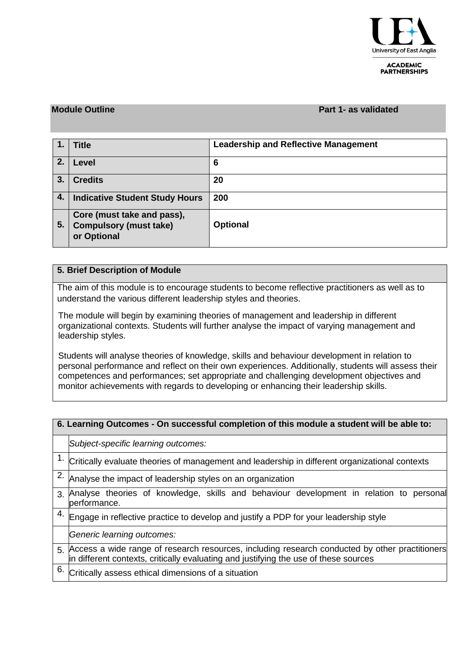

**ACADEMIC PARTNERSHIPS** 

### **Module Outline Part 1- as validated**

|    | <b>Title</b>                                                               | <b>Leadership and Reflective Management</b> |
|----|----------------------------------------------------------------------------|---------------------------------------------|
| 2. | Level                                                                      | 6                                           |
| 3. | <b>Credits</b>                                                             | 20                                          |
| 4. | <b>Indicative Student Study Hours</b>                                      | 200                                         |
| 5. | Core (must take and pass),<br><b>Compulsory (must take)</b><br>or Optional | <b>Optional</b>                             |

## **5. Brief Description of Module**

The aim of this module is to encourage students to become reflective practitioners as well as to understand the various different leadership styles and theories.

The module will begin by examining theories of management and leadership in different organizational contexts. Students will further analyse the impact of varying management and leadership styles.

Students will analyse theories of knowledge, skills and behaviour development in relation to personal performance and reflect on their own experiences. Additionally, students will assess their competences and performances; set appropriate and challenging development objectives and monitor achievements with regards to developing or enhancing their leadership skills.

# **6. Learning Outcomes - On successful completion of this module a student will be able to:** *Subject-specific learning outcomes:* 1. Critically evaluate theories of management and leadership in different organizational contexts 2. Analyse the impact of leadership styles on an organization 3. Analyse theories of knowledge, skills and behaviour development in relation to personal performance.  $4.$  Engage in reflective practice to develop and justify a PDP for your leadership style *Generic learning outcomes:* 5. Access a wide range of research resources, including research conducted by other practitioners in different contexts, critically evaluating and justifying the use of these sources  $6.$  Critically assess ethical dimensions of a situation